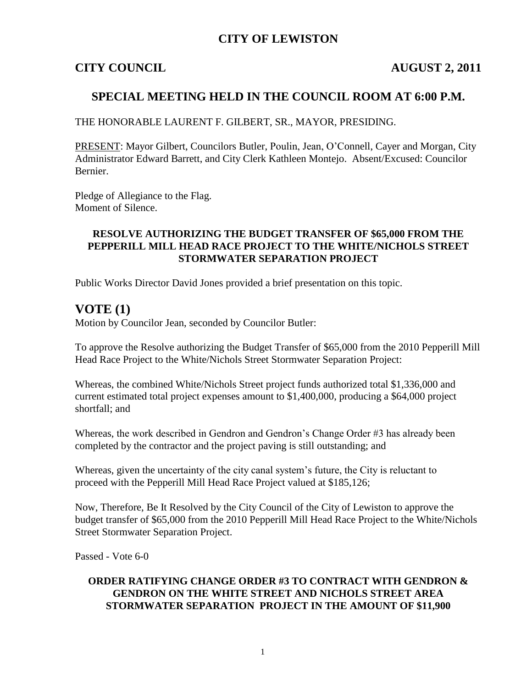## **CITY OF LEWISTON**

### **CITY COUNCIL AUGUST 2, 2011**

## **SPECIAL MEETING HELD IN THE COUNCIL ROOM AT 6:00 P.M.**

THE HONORABLE LAURENT F. GILBERT, SR., MAYOR, PRESIDING.

PRESENT: Mayor Gilbert, Councilors Butler, Poulin, Jean, O'Connell, Cayer and Morgan, City Administrator Edward Barrett, and City Clerk Kathleen Montejo. Absent/Excused: Councilor Bernier.

Pledge of Allegiance to the Flag. Moment of Silence.

#### **RESOLVE AUTHORIZING THE BUDGET TRANSFER OF \$65,000 FROM THE PEPPERILL MILL HEAD RACE PROJECT TO THE WHITE/NICHOLS STREET STORMWATER SEPARATION PROJECT**

Public Works Director David Jones provided a brief presentation on this topic.

## **VOTE (1)**

Motion by Councilor Jean, seconded by Councilor Butler:

To approve the Resolve authorizing the Budget Transfer of \$65,000 from the 2010 Pepperill Mill Head Race Project to the White/Nichols Street Stormwater Separation Project:

Whereas, the combined White/Nichols Street project funds authorized total \$1,336,000 and current estimated total project expenses amount to \$1,400,000, producing a \$64,000 project shortfall; and

Whereas, the work described in Gendron and Gendron's Change Order #3 has already been completed by the contractor and the project paving is still outstanding; and

Whereas, given the uncertainty of the city canal system's future, the City is reluctant to proceed with the Pepperill Mill Head Race Project valued at \$185,126;

Now, Therefore, Be It Resolved by the City Council of the City of Lewiston to approve the budget transfer of \$65,000 from the 2010 Pepperill Mill Head Race Project to the White/Nichols Street Stormwater Separation Project.

Passed - Vote 6-0

#### **ORDER RATIFYING CHANGE ORDER #3 TO CONTRACT WITH GENDRON & GENDRON ON THE WHITE STREET AND NICHOLS STREET AREA STORMWATER SEPARATION PROJECT IN THE AMOUNT OF \$11,900**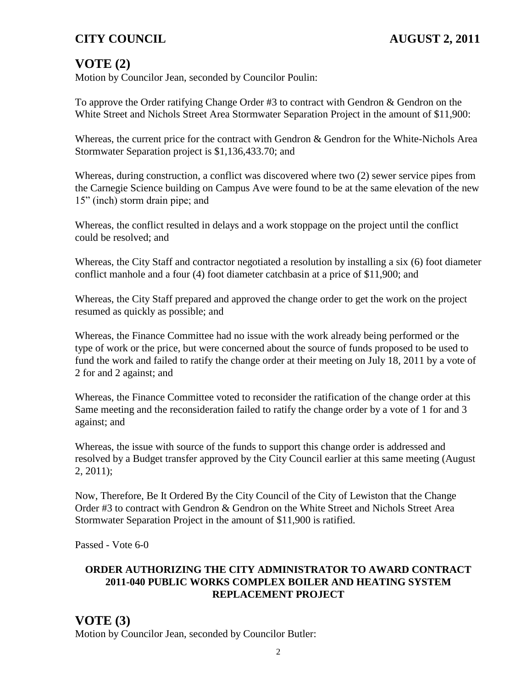## **CITY COUNCIL AUGUST 2, 2011**

## **VOTE (2)**

Motion by Councilor Jean, seconded by Councilor Poulin:

To approve the Order ratifying Change Order #3 to contract with Gendron & Gendron on the White Street and Nichols Street Area Stormwater Separation Project in the amount of \$11,900:

Whereas, the current price for the contract with Gendron & Gendron for the White-Nichols Area Stormwater Separation project is \$1,136,433.70; and

Whereas, during construction, a conflict was discovered where two (2) sewer service pipes from the Carnegie Science building on Campus Ave were found to be at the same elevation of the new 15" (inch) storm drain pipe; and

Whereas, the conflict resulted in delays and a work stoppage on the project until the conflict could be resolved; and

Whereas, the City Staff and contractor negotiated a resolution by installing a six (6) foot diameter conflict manhole and a four (4) foot diameter catchbasin at a price of \$11,900; and

Whereas, the City Staff prepared and approved the change order to get the work on the project resumed as quickly as possible; and

Whereas, the Finance Committee had no issue with the work already being performed or the type of work or the price, but were concerned about the source of funds proposed to be used to fund the work and failed to ratify the change order at their meeting on July 18, 2011 by a vote of 2 for and 2 against; and

Whereas, the Finance Committee voted to reconsider the ratification of the change order at this Same meeting and the reconsideration failed to ratify the change order by a vote of 1 for and 3 against; and

Whereas, the issue with source of the funds to support this change order is addressed and resolved by a Budget transfer approved by the City Council earlier at this same meeting (August 2, 2011);

Now, Therefore, Be It Ordered By the City Council of the City of Lewiston that the Change Order #3 to contract with Gendron & Gendron on the White Street and Nichols Street Area Stormwater Separation Project in the amount of \$11,900 is ratified.

Passed - Vote 6-0

#### **ORDER AUTHORIZING THE CITY ADMINISTRATOR TO AWARD CONTRACT 2011-040 PUBLIC WORKS COMPLEX BOILER AND HEATING SYSTEM REPLACEMENT PROJECT**

### **VOTE (3)** Motion by Councilor Jean, seconded by Councilor Butler: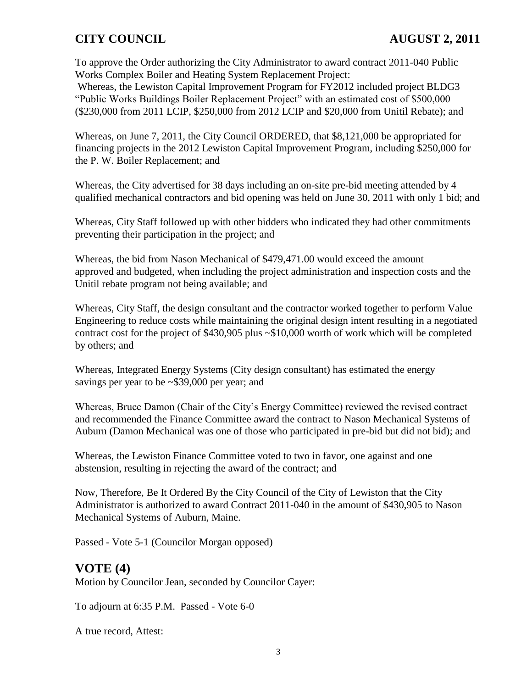## **CITY COUNCIL AUGUST 2, 2011**

To approve the Order authorizing the City Administrator to award contract 2011-040 Public Works Complex Boiler and Heating System Replacement Project:

Whereas, the Lewiston Capital Improvement Program for FY2012 included project BLDG3 "Public Works Buildings Boiler Replacement Project" with an estimated cost of \$500,000 (\$230,000 from 2011 LCIP, \$250,000 from 2012 LCIP and \$20,000 from Unitil Rebate); and

Whereas, on June 7, 2011, the City Council ORDERED, that \$8,121,000 be appropriated for financing projects in the 2012 Lewiston Capital Improvement Program, including \$250,000 for the P. W. Boiler Replacement; and

Whereas, the City advertised for 38 days including an on-site pre-bid meeting attended by 4 qualified mechanical contractors and bid opening was held on June 30, 2011 with only 1 bid; and

Whereas, City Staff followed up with other bidders who indicated they had other commitments preventing their participation in the project; and

Whereas, the bid from Nason Mechanical of \$479,471.00 would exceed the amount approved and budgeted, when including the project administration and inspection costs and the Unitil rebate program not being available; and

Whereas, City Staff, the design consultant and the contractor worked together to perform Value Engineering to reduce costs while maintaining the original design intent resulting in a negotiated contract cost for the project of \$430,905 plus ~\$10,000 worth of work which will be completed by others; and

Whereas, Integrated Energy Systems (City design consultant) has estimated the energy savings per year to be ~\$39,000 per year; and

Whereas, Bruce Damon (Chair of the City's Energy Committee) reviewed the revised contract and recommended the Finance Committee award the contract to Nason Mechanical Systems of Auburn (Damon Mechanical was one of those who participated in pre-bid but did not bid); and

Whereas, the Lewiston Finance Committee voted to two in favor, one against and one abstension, resulting in rejecting the award of the contract; and

Now, Therefore, Be It Ordered By the City Council of the City of Lewiston that the City Administrator is authorized to award Contract 2011-040 in the amount of \$430,905 to Nason Mechanical Systems of Auburn, Maine.

Passed - Vote 5-1 (Councilor Morgan opposed)

## **VOTE (4)**

Motion by Councilor Jean, seconded by Councilor Cayer:

To adjourn at 6:35 P.M. Passed - Vote 6-0

A true record, Attest: